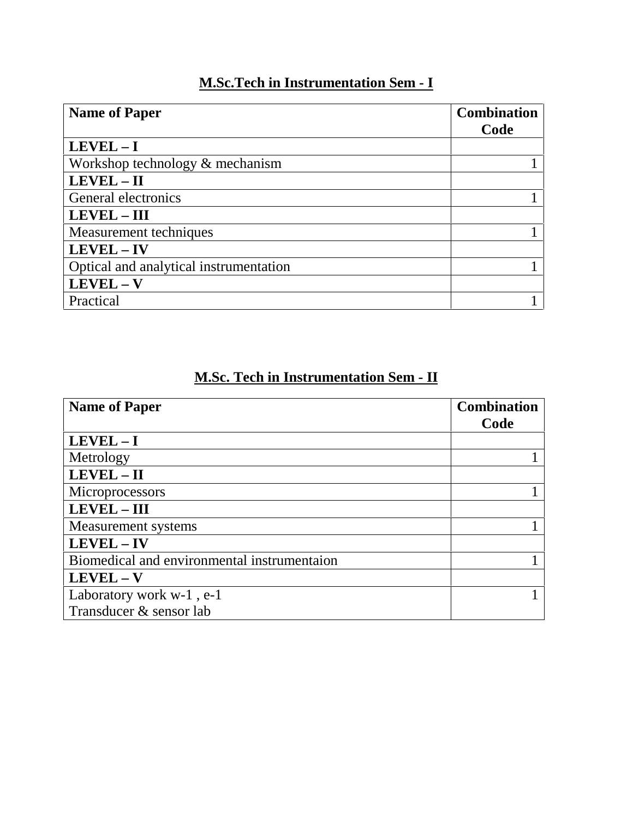## **M.Sc.Tech in Instrumentation Sem - I**

| <b>Name of Paper</b>                   | <b>Combination</b><br>Code |
|----------------------------------------|----------------------------|
|                                        |                            |
| Workshop technology $&$ mechanism      |                            |
| LEVEL - II                             |                            |
| General electronics                    |                            |
| <b>LEVEL - III</b>                     |                            |
| Measurement techniques                 |                            |
| LEVEL - IV                             |                            |
| Optical and analytical instrumentation |                            |
| $LEVEL - V$                            |                            |
| Practical                              |                            |

## **M.Sc. Tech in Instrumentation Sem - II**

| <b>Name of Paper</b>                        | <b>Combination</b> |
|---------------------------------------------|--------------------|
|                                             | Code               |
| $LEVEL - I$                                 |                    |
| Metrology                                   |                    |
| LEVEL - II                                  |                    |
| Microprocessors                             |                    |
| <b>LEVEL - III</b>                          |                    |
| Measurement systems                         |                    |
| LEVEL - IV                                  |                    |
| Biomedical and environmental instrumentaion |                    |
| $LEVEL - V$                                 |                    |
| Laboratory work w-1, e-1                    |                    |
| Transducer & sensor lab                     |                    |